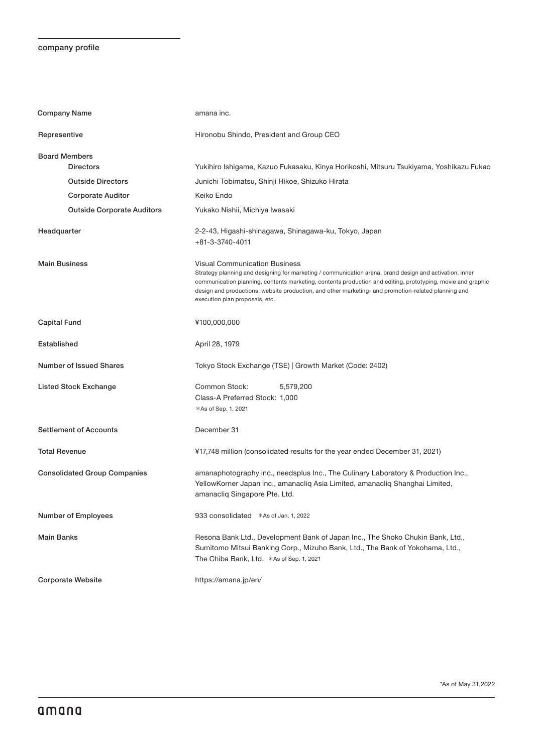## company profile

| <b>Company Name</b>                 | amana inc.                                                                                                                                                                                                                                                                                                                                                                                              |
|-------------------------------------|---------------------------------------------------------------------------------------------------------------------------------------------------------------------------------------------------------------------------------------------------------------------------------------------------------------------------------------------------------------------------------------------------------|
| Representive                        | Hironobu Shindo, President and Group CEO                                                                                                                                                                                                                                                                                                                                                                |
| <b>Board Members</b>                |                                                                                                                                                                                                                                                                                                                                                                                                         |
| <b>Directors</b>                    | Yukihiro Ishigame, Kazuo Fukasaku, Kinya Horikoshi, Mitsuru Tsukiyama, Yoshikazu Fukao                                                                                                                                                                                                                                                                                                                  |
| <b>Outside Directors</b>            | Junichi Tobimatsu, Shinji Hikoe, Shizuko Hirata                                                                                                                                                                                                                                                                                                                                                         |
| <b>Corporate Auditor</b>            | Keiko Endo                                                                                                                                                                                                                                                                                                                                                                                              |
| <b>Outside Corporate Auditors</b>   | Yukako Nishii, Michiya Iwasaki                                                                                                                                                                                                                                                                                                                                                                          |
| Headquarter                         | 2-2-43, Higashi-shinagawa, Shinagawa-ku, Tokyo, Japan<br>+81-3-3740-4011                                                                                                                                                                                                                                                                                                                                |
| <b>Main Business</b>                | <b>Visual Communication Business</b><br>Strategy planning and designing for marketing / communication arena, brand design and activation, inner<br>communication planning, contents marketing, contents production and editing, prototyping, movie and graphic<br>design and productions, website production, and other marketing- and promotion-related planning and<br>execution plan proposals, etc. |
| <b>Capital Fund</b>                 | ¥100,000,000                                                                                                                                                                                                                                                                                                                                                                                            |
| Established                         | April 28, 1979                                                                                                                                                                                                                                                                                                                                                                                          |
| Number of Issued Shares             | Tokyo Stock Exchange (TSE)   Growth Market (Code: 2402)                                                                                                                                                                                                                                                                                                                                                 |
| <b>Listed Stock Exchange</b>        | Common Stock:<br>5,579,200                                                                                                                                                                                                                                                                                                                                                                              |
|                                     | Class-A Preferred Stock: 1,000                                                                                                                                                                                                                                                                                                                                                                          |
|                                     | *As of Sep. 1, 2021                                                                                                                                                                                                                                                                                                                                                                                     |
| <b>Settlement of Accounts</b>       | December 31                                                                                                                                                                                                                                                                                                                                                                                             |
| <b>Total Revenue</b>                | ¥17,748 million (consolidated results for the year ended December 31, 2021)                                                                                                                                                                                                                                                                                                                             |
| <b>Consolidated Group Companies</b> | amanaphotography inc., needsplus Inc., The Culinary Laboratory & Production Inc.,<br>YellowKorner Japan inc., amanacliq Asia Limited, amanacliq Shanghai Limited,<br>amanacliq Singapore Pte. Ltd.                                                                                                                                                                                                      |
| Number of Employees                 | 933 consolidated *As of Jan. 1, 2022                                                                                                                                                                                                                                                                                                                                                                    |
| <b>Main Banks</b>                   | Resona Bank Ltd., Development Bank of Japan Inc., The Shoko Chukin Bank, Ltd.,<br>Sumitomo Mitsui Banking Corp., Mizuho Bank, Ltd., The Bank of Yokohama, Ltd.,<br>The Chiba Bank, Ltd. *As of Sep. 1, 2021                                                                                                                                                                                             |
| <b>Corporate Website</b>            | https://amana.jp/en/                                                                                                                                                                                                                                                                                                                                                                                    |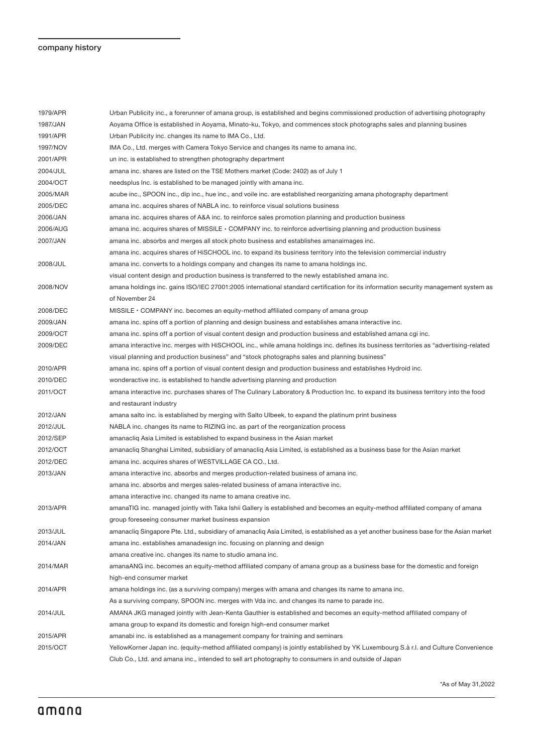## company history

| 1979/APR | Urban Publicity inc., a forerunner of amana group, is established and begins commissioned production of advertising photography         |
|----------|-----------------------------------------------------------------------------------------------------------------------------------------|
| 1987/JAN | Aoyama Office is established in Aoyama, Minato-ku, Tokyo, and commences stock photographs sales and planning busines                    |
| 1991/APR | Urban Publicity inc. changes its name to IMA Co., Ltd.                                                                                  |
| 1997/NOV | IMA Co., Ltd. merges with Camera Tokyo Service and changes its name to amana inc.                                                       |
| 2001/APR | un inc. is established to strengthen photography department                                                                             |
| 2004/JUL | amana inc. shares are listed on the TSE Mothers market (Code: 2402) as of July 1                                                        |
| 2004/OCT | needsplus Inc. is established to be managed jointly with amana inc.                                                                     |
| 2005/MAR | acube inc., SPOON inc., dip inc., hue inc., and voile inc. are established reorganizing amana photography department                    |
| 2005/DEC | amana inc. acquires shares of NABLA inc. to reinforce visual solutions business                                                         |
| 2006/JAN | amana inc. acquires shares of A&A inc. to reinforce sales promotion planning and production business                                    |
| 2006/AUG | amana inc. acquires shares of MISSILE $\cdot$ COMPANY inc. to reinforce advertising planning and production business                    |
| 2007/JAN | amana inc. absorbs and merges all stock photo business and establishes amanaimages inc.                                                 |
|          | amana inc. acquires shares of HiSCHOOL inc. to expand its business territory into the television commercial industry                    |
| 2008/JUL | amana inc. converts to a holdings company and changes its name to amana holdings inc.                                                   |
|          | visual content design and production business is transferred to the newly established amana inc.                                        |
| 2008/NOV | amana holdings inc. gains ISO/IEC 27001:2005 international standard certification for its information security management system as     |
|          | of November 24                                                                                                                          |
| 2008/DEC | $MISSILE \cdot COMPANY$ inc. becomes an equity-method affiliated company of amana group                                                 |
| 2009/JAN | amana inc. spins off a portion of planning and design business and establishes amana interactive inc.                                   |
| 2009/OCT | amana inc. spins off a portion of visual content design and production business and established amana cgi inc.                          |
| 2009/DEC | amana interactive inc. merges with HiSCHOOL inc., while amana holdings inc. defines its business territories as "advertising-related    |
|          | visual planning and production business" and "stock photographs sales and planning business"                                            |
| 2010/APR | amana inc. spins off a portion of visual content design and production business and establishes Hydroid inc.                            |
| 2010/DEC | wonderactive inc. is established to handle advertising planning and production                                                          |
| 2011/OCT | amana interactive inc. purchases shares of The Culinary Laboratory & Production Inc. to expand its business territory into the food     |
|          | and restaurant industry                                                                                                                 |
| 2012/JAN | amana salto inc. is established by merging with Salto Ulbeek, to expand the platinum print business                                     |
| 2012/JUL | NABLA inc. changes its name to RIZING inc. as part of the reorganization process                                                        |
| 2012/SEP | amanacliq Asia Limited is established to expand business in the Asian market                                                            |
| 2012/OCT | amanacliq Shanghai Limited, subsidiary of amanacliq Asia Limited, is established as a business base for the Asian market                |
| 2012/DEC | amana inc. acquires shares of WESTVILLAGE CA CO., Ltd.                                                                                  |
| 2013/JAN | amana interactive inc. absorbs and merges production-related business of amana inc.                                                     |
|          | amana inc. absorbs and merges sales-related business of amana interactive inc.                                                          |
|          | amana interactive inc. changed its name to amana creative inc.                                                                          |
| 2013/APR | amanaTIG inc. managed jointly with Taka Ishii Gallery is established and becomes an equity-method affiliated company of amana           |
|          | group foreseeing consumer market business expansion                                                                                     |
| 2013/JUL | amanacliq Singapore Pte. Ltd., subsidiary of amanacliq Asia Limited, is established as a yet another business base for the Asian market |
| 2014/JAN | amana inc. establishes amanadesign inc. focusing on planning and design                                                                 |
|          | amana creative inc. changes its name to studio amana inc.                                                                               |
| 2014/MAR | amanaANG inc. becomes an equity-method affiliated company of amana group as a business base for the domestic and foreign                |
|          | high-end consumer market                                                                                                                |
| 2014/APR | amana holdings inc. (as a surviving company) merges with amana and changes its name to amana inc.                                       |
|          | As a surviving company, SPOON inc. merges with Vda inc. and changes its name to parade inc.                                             |
| 2014/JUL | AMANA JKG managed jointly with Jean-Kenta Gauthier is established and becomes an equity-method affiliated company of                    |
|          | amana group to expand its domestic and foreign high-end consumer market                                                                 |
| 2015/APR | amanabi inc. is established as a management company for training and seminars                                                           |
| 2015/OCT | YellowKorner Japan inc. (equity-method affiliated company) is jointly established by YK Luxembourg S.à r.l. and Culture Convenience     |
|          | Club Co., Ltd. and amana inc., intended to sell art photography to consumers in and outside of Japan                                    |